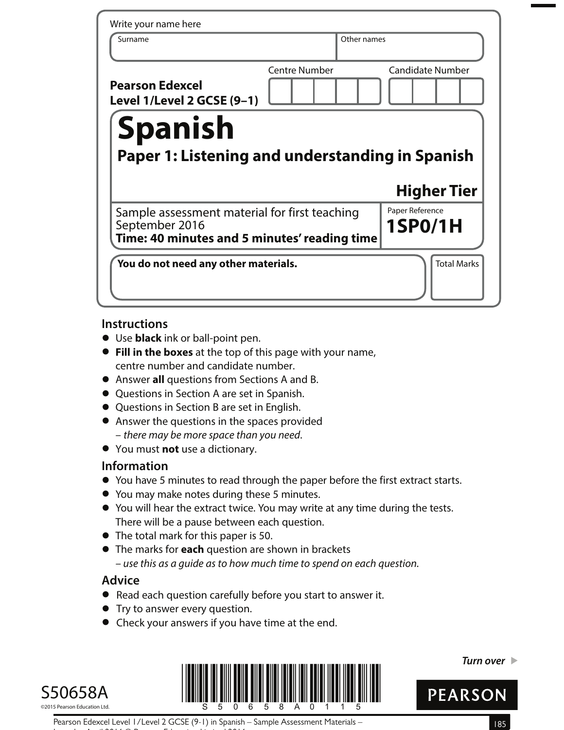| Write your name here                                                                                            |                      |                                   |
|-----------------------------------------------------------------------------------------------------------------|----------------------|-----------------------------------|
| Surname                                                                                                         |                      | Other names                       |
| <b>Pearson Edexcel</b><br>Level 1/Level 2 GCSE (9-1)                                                            | <b>Centre Number</b> | <b>Candidate Number</b>           |
| <b>Spanish</b><br>Paper 1: Listening and understanding in Spanish                                               |                      |                                   |
|                                                                                                                 |                      |                                   |
|                                                                                                                 |                      | <b>Higher Tier</b>                |
| Sample assessment material for first teaching<br>September 2016<br>Time: 40 minutes and 5 minutes' reading time |                      | Paper Reference<br><b>1SP0/1H</b> |

## **Instructions**

- **•** Use **black** ink or ball-point pen.
- **• Fill in the boxes** at the top of this page with your name, centre number and candidate number.
- **•** Centre number and candidate number.<br>● Answer **all** questions from Sections A and B.
- **•** Answer **all** questions from Sections A and<br>• Questions in Section A are set in Spanish.
- Questions in Section A are set in Spanish.<br>● Questions in Section B are set in English.
- **•** Answer the questions in the spaces provided – there may be more space than you need.
- **•** You must **not** use a dictionary.

# **Information**

- **•** You have 5 minutes to read through the paper before the first extract starts.
- **•** You may make notes during these 5 minutes.
- **•** You will hear the extract twice. You may write at any time during the tests. There will be a pause between each question.
- **•** The total mark for this paper is 50.
- **•** The marks for **each** question are shown in brackets – use this as a guide as to how much time to spend on each question.

# **Advice**

- **•** Read each question carefully before you start to answer it.
- **•** Try to answer every question.
- **•** Check your answers if you have time at the end.





**Turn over** 



Pearson Edexcel Level 1/Level 2 GCSE (9-1) in Spanish – Sample Assessment Materials – 185 Issue 1 – April 2016 © Pearson Education Limited 2016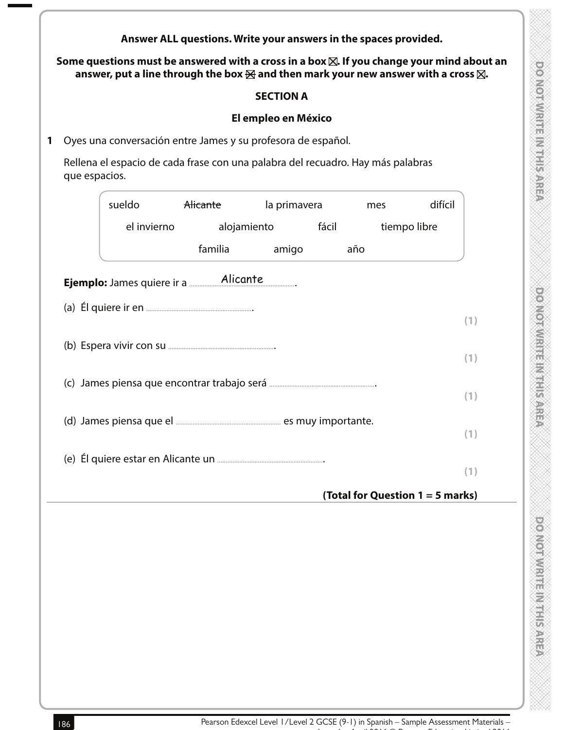|               | answer, put a line through the box $\boxtimes$ and then mark your new answer with a cross $\boxtimes$ .                                         |     |
|---------------|-------------------------------------------------------------------------------------------------------------------------------------------------|-----|
|               | <b>SECTION A</b>                                                                                                                                |     |
|               | El empleo en México                                                                                                                             |     |
|               | Oyes una conversación entre James y su profesora de español.<br>Rellena el espacio de cada frase con una palabra del recuadro. Hay más palabras |     |
| que espacios. |                                                                                                                                                 |     |
|               | sueldo<br>Alicante<br>la primavera<br>difícil<br>mes                                                                                            |     |
|               | el invierno<br>alojamiento<br>tiempo libre<br>fácil                                                                                             |     |
|               | familia<br>amigo<br>año                                                                                                                         |     |
|               |                                                                                                                                                 |     |
|               |                                                                                                                                                 |     |
|               |                                                                                                                                                 | (1) |
|               |                                                                                                                                                 |     |
|               |                                                                                                                                                 | (1) |
|               |                                                                                                                                                 | (1) |
|               |                                                                                                                                                 |     |
|               |                                                                                                                                                 | (1) |
|               |                                                                                                                                                 |     |
|               |                                                                                                                                                 | (1) |
|               | (Total for Question 1 = 5 marks)                                                                                                                |     |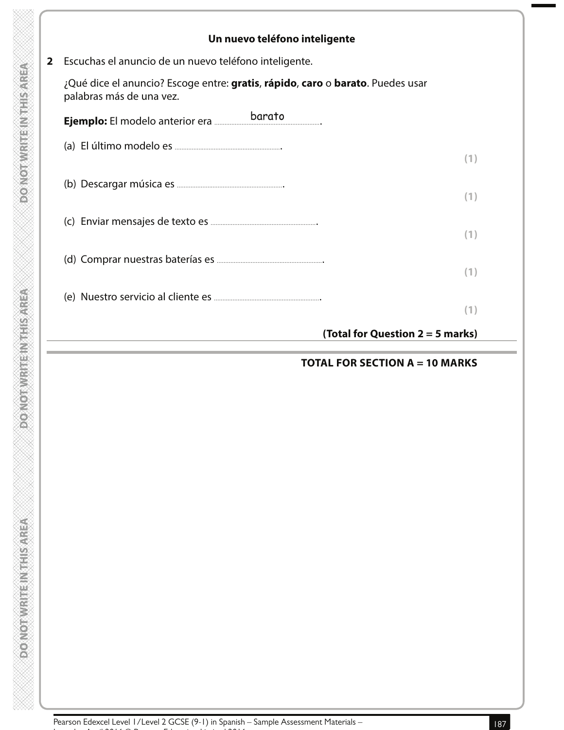| Un nuevo teléfono inteligente                                                                              |                                    |
|------------------------------------------------------------------------------------------------------------|------------------------------------|
| Escuchas el anuncio de un nuevo teléfono inteligente.                                                      |                                    |
| ¿Qué dice el anuncio? Escoge entre: gratis, rápido, caro o barato. Puedes usar<br>palabras más de una vez. |                                    |
| Ejemplo: El modelo anterior era barato                                                                     |                                    |
|                                                                                                            | (1)                                |
|                                                                                                            | (1)                                |
|                                                                                                            | (1)                                |
|                                                                                                            | (1)                                |
|                                                                                                            | (1)                                |
|                                                                                                            | (Total for Question $2 = 5$ marks) |

Pearson Edexcel Level 1/Level 2 GCSE (9-1) in Spanish – Sample Assessment Materials –<br>187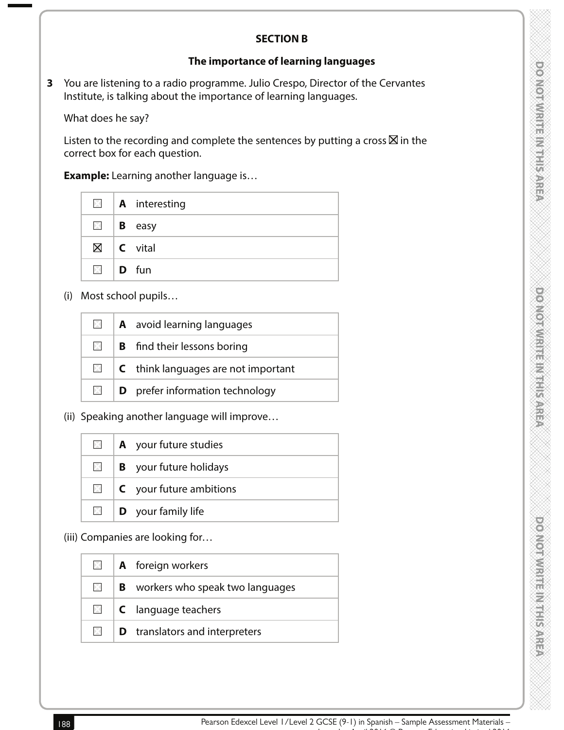## **SECTION B**

## **The importance of learning languages**

**3** You are listening to a radio programme. Julio Crespo, Director of the Cervantes Institute, is talking about the importance of learning languages.

What does he say?

Listen to the recording and complete the sentences by putting a cross  $\boxtimes$  in the correct box for each question.

 **Example:** Learning another language is…

|                   | $\blacksquare$   A interesting |
|-------------------|--------------------------------|
|                   | $\blacksquare$   <b>B</b> easy |
|                   | $\boxtimes$   C vital          |
| $\boxtimes$ D fun |                                |

(i) Most school pupils…

| X            | <b>A</b> avoid learning languages              |
|--------------|------------------------------------------------|
| $\mathbb{X}$ | <b>B</b> find their lessons boring             |
| $\times$     | $\mathsf{C}$ think languages are not important |
| X.           | <b>D</b> prefer information technology         |

(ii) Speaking another language will improve…

| $\mathbb{X}$  | A your future studies          |
|---------------|--------------------------------|
| <b>X</b>      | <b>B</b> your future holidays  |
| $\times$ 1    | <b>C</b> your future ambitions |
| $\boxtimes$ 1 | <b>D</b> your family life      |

(iii) Companies are looking for…

|          | $\Box$   <b>A</b> foreign workers                |
|----------|--------------------------------------------------|
| XI.      | $\vert$ <b>B</b> workers who speak two languages |
| $\times$ | $\vert$ <b>C</b> language teachers               |
| DK L     | <b>D</b> translators and interpreters            |
|          |                                                  |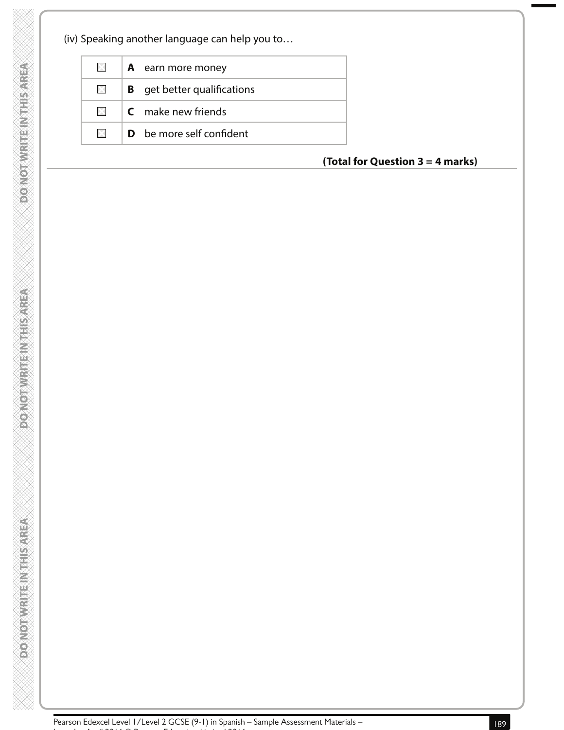**DOONOTWRITENTHIS AREA** 

**DO NOTWRITEIN THIS AREA** 

**VERVOSIT ENVERTIGATION OF CONTRA** 

| $\times$     | <b>A</b> earn more money           |
|--------------|------------------------------------|
| $\mathbb{X}$ | <b>B</b> get better qualifications |
| $\times$     | <b>C</b> make new friends          |
| $\times$     | <b>D</b> be more self confident    |

## **(Total for Question 3 = 4 marks)**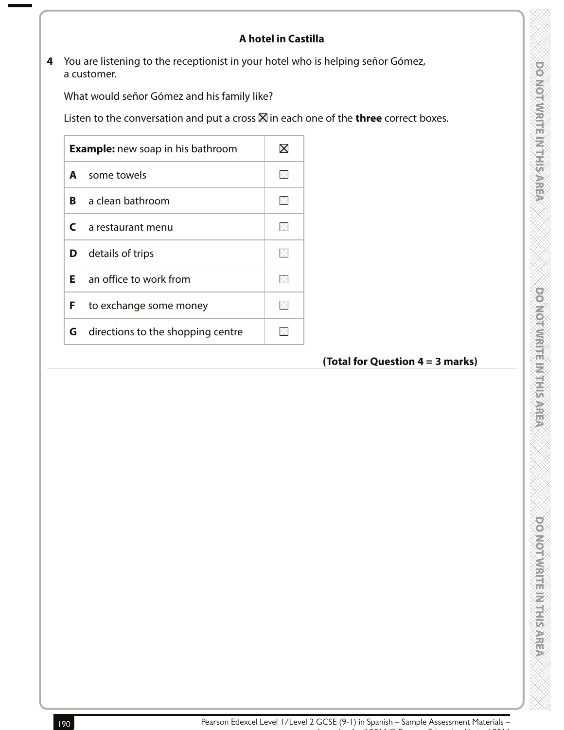# **A hotel in Castilla**

**4** You are listening to the receptionist in your hotel who is helping señor Gómez, a customer.

What would señor Gómez and his family like?

Listen to the conversation and put a cross  $\boxtimes$  in each one of the **three** correct boxes.

| <b>Example:</b> new soap in his bathroom |                                   |  |
|------------------------------------------|-----------------------------------|--|
| A                                        | some towels                       |  |
| R                                        | a clean bathroom                  |  |
| C                                        | a restaurant menu                 |  |
| D                                        | details of trips                  |  |
| E.                                       | an office to work from            |  |
| F                                        | to exchange some money            |  |
| G                                        | directions to the shopping centre |  |

# **(Total for Question 4 = 3 marks)**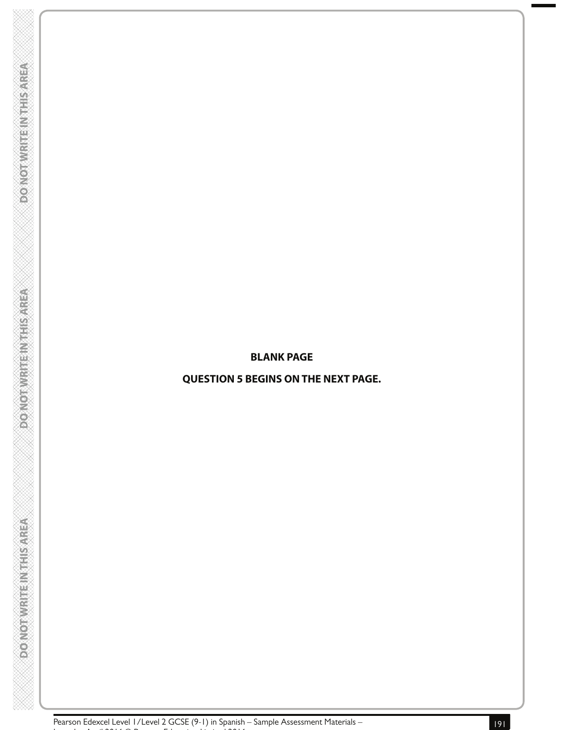#### **BLANK PAGE**

#### **QUESTION 5 BEGINS ON THE NEXT PAGE.**

**DOONOTWRITENTHIS AREA** 

**PONOTWRITE INTHISAREA** 

**DONOTWRITEINTHIS AREA**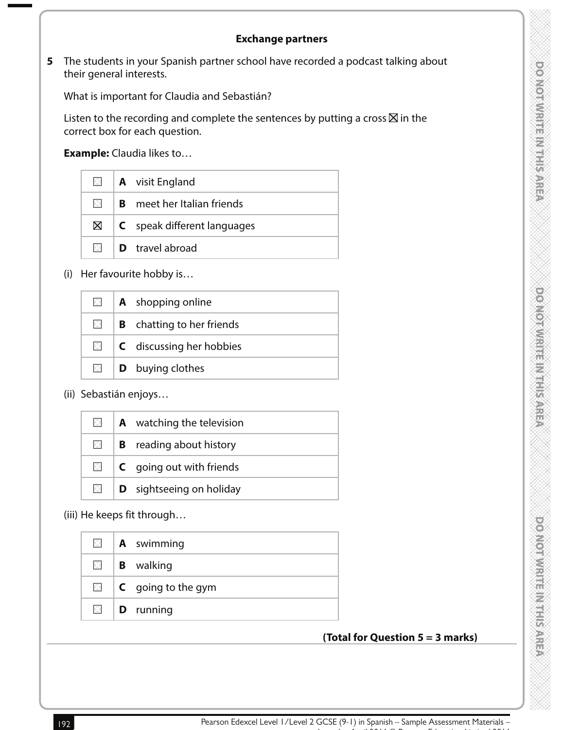#### **Exchange partners**

**5** The students in your Spanish partner school have recorded a podcast talking about their general interests.

What is important for Claudia and Sebastián?

Listen to the recording and complete the sentences by putting a cross  $\boxtimes$  in the correct box for each question.

**Example:** Claudia likes to…

|             | $\Box$   <b>A</b> visit England        |
|-------------|----------------------------------------|
| >           | <b>B</b> meet her Italian friends      |
| $\boxtimes$ | $\mathsf{C}$ speak different languages |
| XI.         | <b>D</b> travel abroad                 |

(i) Her favourite hobby is…

|              | $\Box$ <b>A</b> shopping online     |
|--------------|-------------------------------------|
| $\times$     | <b>B</b> chatting to her friends    |
| $\mathbb{X}$ | $\mathsf{C}$ discussing her hobbies |
| $\times$     | <b>D</b> buying clothes             |

(ii) Sebastián enjoys…

| <b>X</b>     | $\mathbf A$ watching the television |
|--------------|-------------------------------------|
| $\times$ 1   | <b>B</b> reading about history      |
| $\mathsf{X}$ | <b>C</b> going out with friends     |
| $\times$ 1   | <b>D</b> sightseeing on holiday     |

(iii) He keeps fit through…

| $\boxtimes$ | <b>A</b> swimming         |
|-------------|---------------------------|
| $\boxtimes$ | <b>B</b> walking          |
| $\times$    | <b>C</b> going to the gym |
| $\times$    | <b>D</b> running          |
|             |                           |

## **(Total for Question 5 = 3 marks)**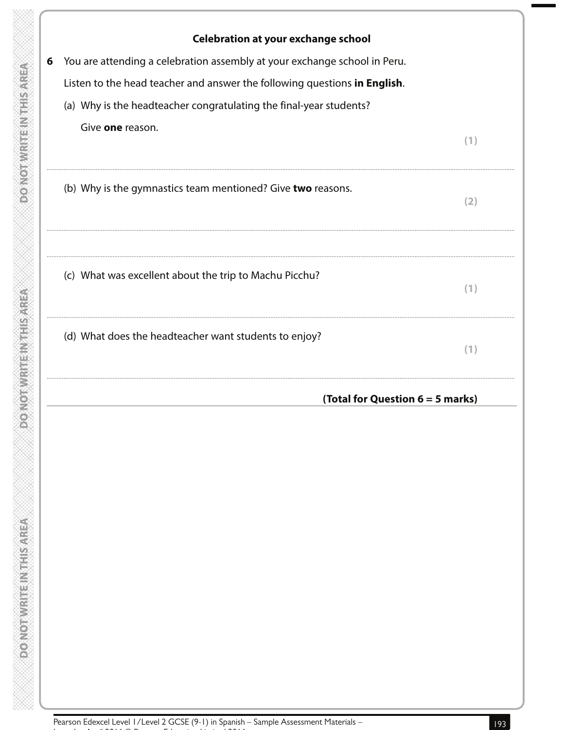|   | Celebration at your exchange school                                       |     |
|---|---------------------------------------------------------------------------|-----|
| 6 | You are attending a celebration assembly at your exchange school in Peru. |     |
|   | Listen to the head teacher and answer the following questions in English. |     |
|   | (a) Why is the headteacher congratulating the final-year students?        |     |
|   | Give one reason.                                                          | (1) |
|   | (b) Why is the gymnastics team mentioned? Give two reasons.               | (2) |
|   | (c) What was excellent about the trip to Machu Picchu?                    | (1) |
|   | (d) What does the headteacher want students to enjoy?                     | (1) |
|   | (Total for Question 6 = 5 marks)                                          |     |
|   |                                                                           |     |
|   |                                                                           |     |
|   |                                                                           |     |
|   |                                                                           |     |
|   |                                                                           |     |
|   |                                                                           |     |
|   |                                                                           |     |

 $\frac{\infty}{\infty}$ 

 $\frac{8}{2}$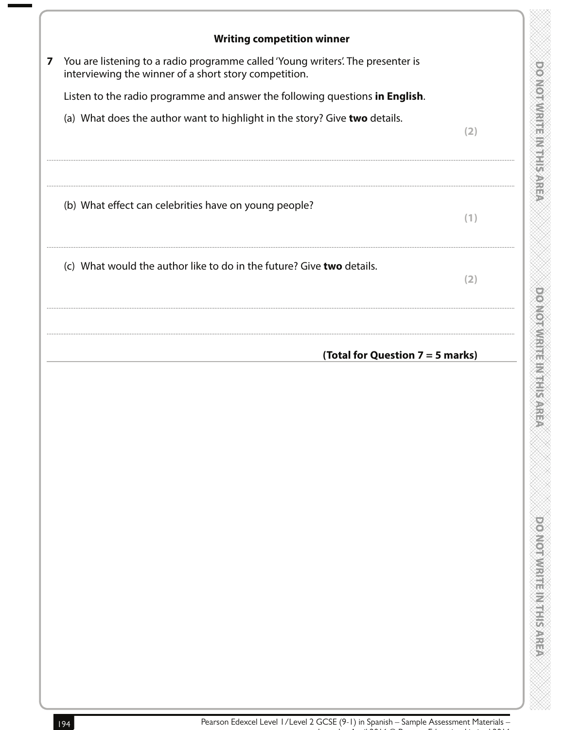| <b>Writing competition winner</b>                                                                                                        |     |
|------------------------------------------------------------------------------------------------------------------------------------------|-----|
| You are listening to a radio programme called 'Young writers'. The presenter is<br>interviewing the winner of a short story competition. |     |
| Listen to the radio programme and answer the following questions in English.                                                             |     |
| (a) What does the author want to highlight in the story? Give two details.                                                               | (2) |
| (b) What effect can celebrities have on young people?                                                                                    | (1) |
| (c) What would the author like to do in the future? Give two details.                                                                    | (2) |
| (Total for Question 7 = 5 marks)                                                                                                         |     |
|                                                                                                                                          |     |

8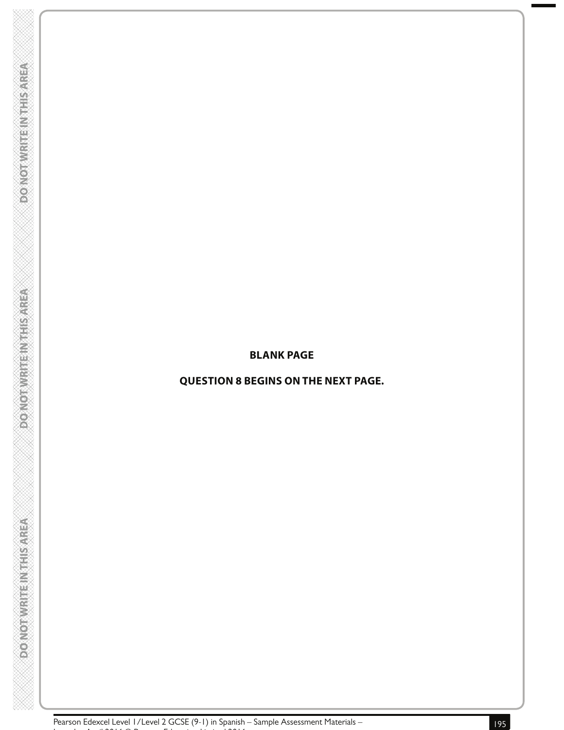#### **BLANK PAGE**

## **QUESTION 8 BEGINS ON THE NEXT PAGE.**

**DOONOTWRITENTHIS AREA** 

**PONOTWRITE INTHISAREA** 

**DONOTWRITEINTHIS AREA**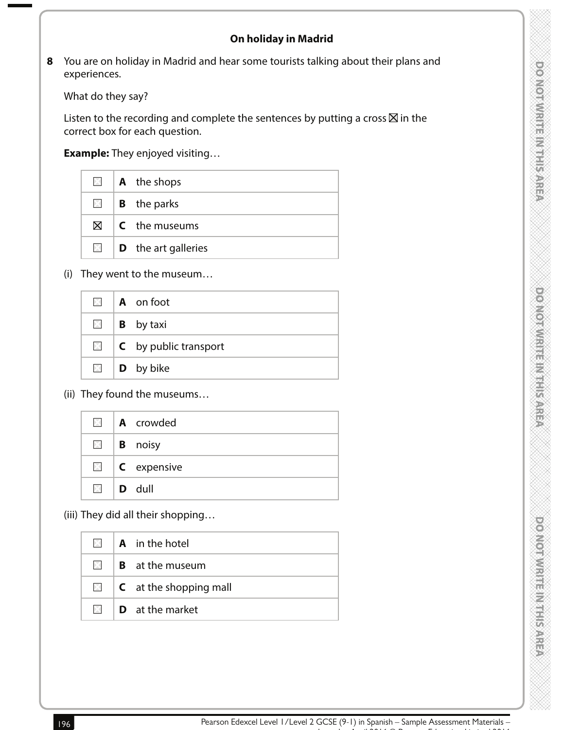**8** You are on holiday in Madrid and hear some tourists talking about their plans and experiences.

What do they say?

Listen to the recording and complete the sentences by putting a cross  $\boxtimes$  in the correct box for each question.

 **Example:** They enjoyed visiting…

|  | $\Box$   <b>A</b> the shops              |
|--|------------------------------------------|
|  | $\Box$   <b>B</b> the parks              |
|  | $\boxtimes$ $\blacksquare$ C the museums |
|  | $\Box$ <b>D</b> the art galleries        |

(i) They went to the museum…

| $\times$    | $\overline{A}$ on foot           |
|-------------|----------------------------------|
|             | $\Box$ <b>B</b> by taxi          |
| $\times$    | $\mathsf{C}$ by public transport |
| $\boxtimes$ | $\vert$ <b>D</b> by bike         |

(ii) They found the museums…

|  | $\blacksquare$   A crowded |
|--|----------------------------|
|  | $\Box$   <b>B</b> noisy    |
|  | $\Box$ <b>C</b> expensive  |
|  | $\blacksquare$ D dull      |

(iii) They did all their shopping…

| $\times$    | <b>A</b> in the hotel               |
|-------------|-------------------------------------|
| $\boxtimes$ | <b>B</b> at the museum              |
| $\times$    | $\mathsf{C}$ at the shopping mall   |
|             | $\mathbb{Z}$ <b>D</b> at the market |
|             |                                     |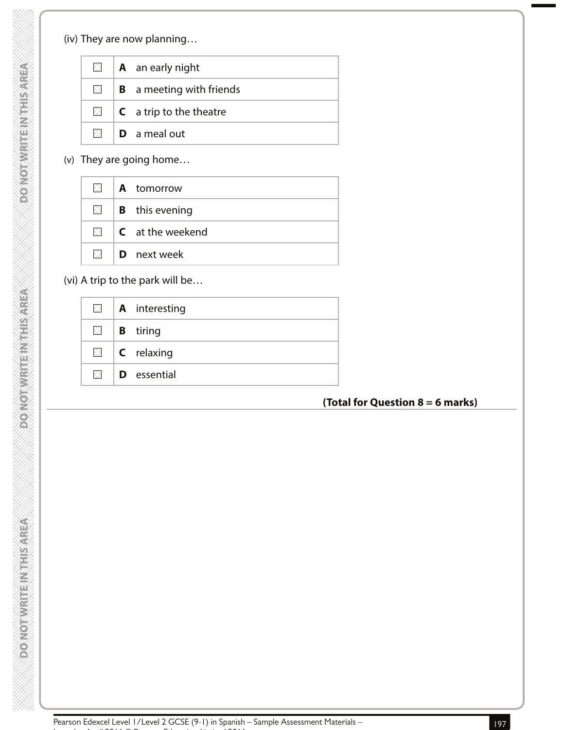# (iv) They are now planning…

| $\times$ | <b>A</b> an early night          |
|----------|----------------------------------|
| $\times$ | <b>B</b> a meeting with friends  |
| $\times$ | $C$ a trip to the theatre        |
|          | $\mathbb{N}$ <b>D</b> a meal out |

(v) They are going home…

| $\times$                   | <b>A</b> tomorrow                                                       |
|----------------------------|-------------------------------------------------------------------------|
| $\boxtimes$ $\blacksquare$ | <b>B</b> this evening                                                   |
|                            | $\boxtimes$ $\blacksquare$ $\blacksquare$ $\blacksquare$ at the weekend |
| $\times$ 1                 | <b>D</b> next week                                                      |

(vi) A trip to the park will be…

|  | $\blacksquare$   A interesting |
|--|--------------------------------|
|  | $\Box$   <b>B</b> tiring       |
|  | $\boxtimes$   C relaxing       |
|  | $\Box$ <b>D</b> essential      |

## **(Total for Question 8 = 6 marks)**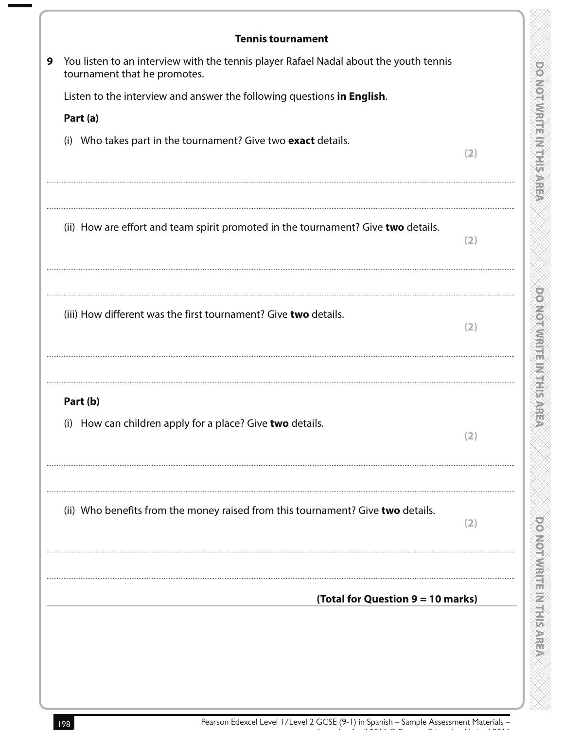| You listen to an interview with the tennis player Rafael Nadal about the youth tennis |     |
|---------------------------------------------------------------------------------------|-----|
| tournament that he promotes.                                                          |     |
| Listen to the interview and answer the following questions in English.                |     |
| Part (a)                                                                              |     |
| (i) Who takes part in the tournament? Give two exact details.                         | (2) |
| (ii) How are effort and team spirit promoted in the tournament? Give two details.     | (2) |
| (iii) How different was the first tournament? Give two details.                       | (2) |
| Part (b)<br>(i) How can children apply for a place? Give two details.                 | (2) |
| (ii) Who benefits from the money raised from this tournament? Give two details.       | (2) |
| (Total for Question 9 = 10 marks)                                                     |     |

n,